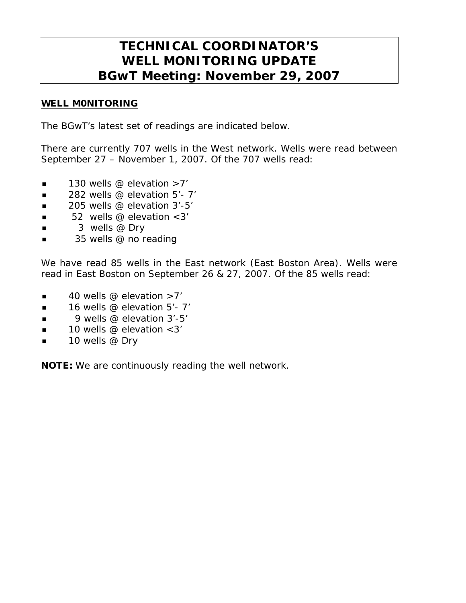# **TECHNICAL COORDINATOR'S WELL MONITORING UPDATE BGwT Meeting: November 29, 2007**

## WELL M0NITORING

The BGwT's latest set of readings are indicated below.

There are currently 707 wells in the West network. Wells were read between September 27 – November 1, 2007. Of the 707 wells read:

- $\blacksquare$  130 wells @ elevation >7'
- $\blacksquare$  282 wells @ elevation 5'-7'
- $\blacksquare$  205 wells @ elevation 3'-5'
- $\blacksquare$  52 wells @ elevation < 3'
- $\blacksquare$  3 wells @ Dry
- 35 wells @ no reading

We have read 85 wells in the East network (East Boston Area). Wells were read in East Boston on September 26 & 27, 2007. Of the 85 wells read:

- $\blacksquare$  40 wells @ elevation >7'
- $\blacksquare$  16 wells @ elevation 5'- 7'
- $\Box$  9 wells @ elevation 3'-5'
- $\blacksquare$  10 wells @ elevation <3'
- $\blacksquare$  10 wells @ Dry

NOTE: We are continuously reading the well network.